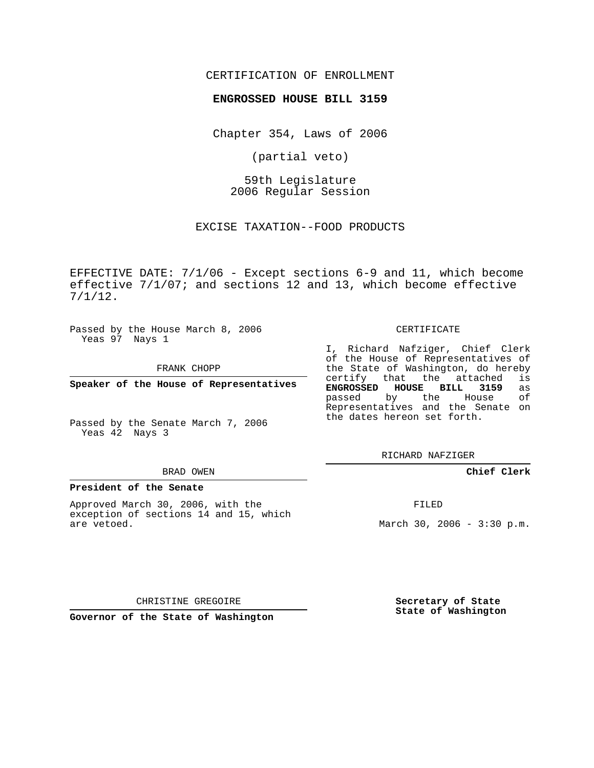## CERTIFICATION OF ENROLLMENT

### **ENGROSSED HOUSE BILL 3159**

Chapter 354, Laws of 2006

(partial veto)

59th Legislature 2006 Regular Session

EXCISE TAXATION--FOOD PRODUCTS

EFFECTIVE DATE: 7/1/06 - Except sections 6-9 and 11, which become effective 7/1/07; and sections 12 and 13, which become effective 7/1/12.

Passed by the House March 8, 2006 Yeas 97 Nays 1

FRANK CHOPP

**Speaker of the House of Representatives**

Passed by the Senate March 7, 2006 Yeas 42 Nays 3

#### BRAD OWEN

#### **President of the Senate**

Approved March 30, 2006, with the exception of sections 14 and 15, which are vetoed.

#### CERTIFICATE

I, Richard Nafziger, Chief Clerk of the House of Representatives of the State of Washington, do hereby<br>certify that the attached is that the attached **ENGROSSED HOUSE BILL 3159** as passed by the House of Representatives and the Senate on the dates hereon set forth.

RICHARD NAFZIGER

**Chief Clerk**

FILED

March 30, 2006 - 3:30 p.m.

CHRISTINE GREGOIRE

**Governor of the State of Washington**

**Secretary of State State of Washington**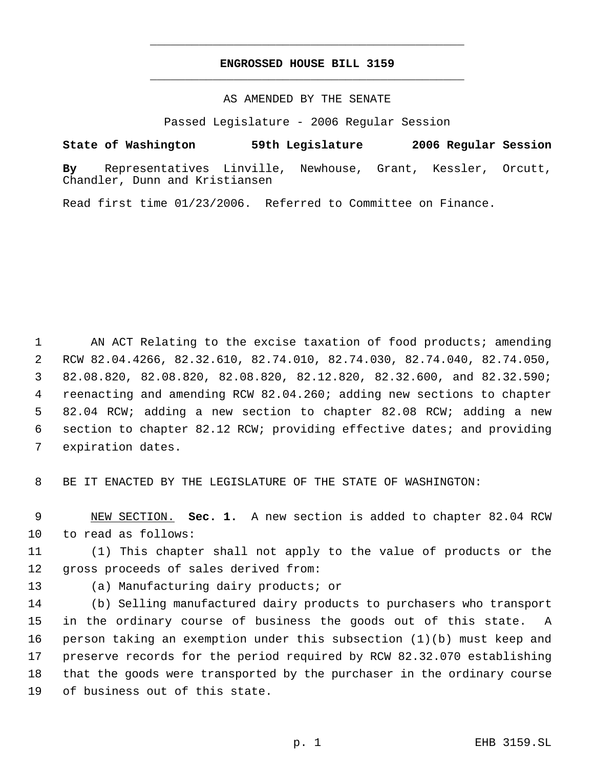# **ENGROSSED HOUSE BILL 3159** \_\_\_\_\_\_\_\_\_\_\_\_\_\_\_\_\_\_\_\_\_\_\_\_\_\_\_\_\_\_\_\_\_\_\_\_\_\_\_\_\_\_\_\_\_

\_\_\_\_\_\_\_\_\_\_\_\_\_\_\_\_\_\_\_\_\_\_\_\_\_\_\_\_\_\_\_\_\_\_\_\_\_\_\_\_\_\_\_\_\_

AS AMENDED BY THE SENATE

Passed Legislature - 2006 Regular Session

**State of Washington 59th Legislature 2006 Regular Session**

**By** Representatives Linville, Newhouse, Grant, Kessler, Orcutt, Chandler, Dunn and Kristiansen

Read first time 01/23/2006. Referred to Committee on Finance.

1 AN ACT Relating to the excise taxation of food products; amending RCW 82.04.4266, 82.32.610, 82.74.010, 82.74.030, 82.74.040, 82.74.050, 82.08.820, 82.08.820, 82.08.820, 82.12.820, 82.32.600, and 82.32.590; reenacting and amending RCW 82.04.260; adding new sections to chapter 82.04 RCW; adding a new section to chapter 82.08 RCW; adding a new section to chapter 82.12 RCW; providing effective dates; and providing expiration dates.

BE IT ENACTED BY THE LEGISLATURE OF THE STATE OF WASHINGTON:

 NEW SECTION. **Sec. 1.** A new section is added to chapter 82.04 RCW to read as follows:

 (1) This chapter shall not apply to the value of products or the gross proceeds of sales derived from:

(a) Manufacturing dairy products; or

 (b) Selling manufactured dairy products to purchasers who transport in the ordinary course of business the goods out of this state. A person taking an exemption under this subsection (1)(b) must keep and preserve records for the period required by RCW 82.32.070 establishing that the goods were transported by the purchaser in the ordinary course of business out of this state.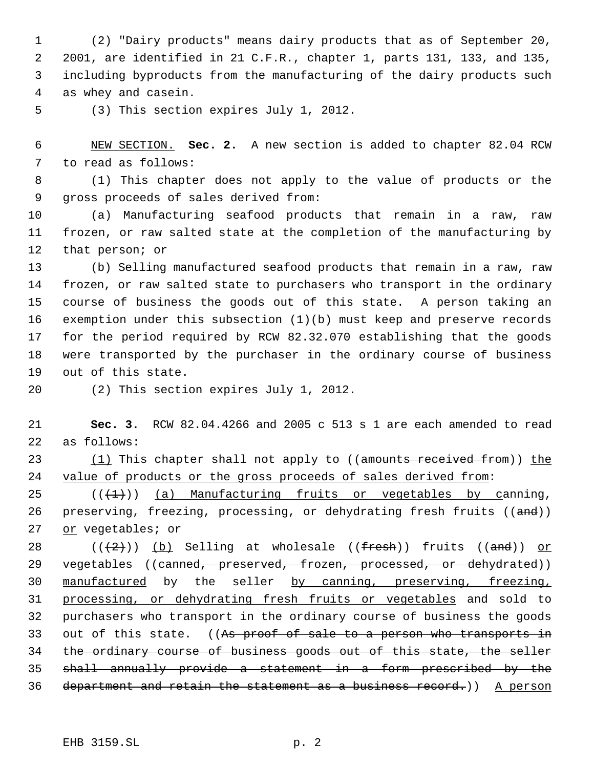(2) "Dairy products" means dairy products that as of September 20, 2001, are identified in 21 C.F.R., chapter 1, parts 131, 133, and 135, including byproducts from the manufacturing of the dairy products such as whey and casein.

(3) This section expires July 1, 2012.

 NEW SECTION. **Sec. 2.** A new section is added to chapter 82.04 RCW to read as follows:

 (1) This chapter does not apply to the value of products or the gross proceeds of sales derived from:

 (a) Manufacturing seafood products that remain in a raw, raw frozen, or raw salted state at the completion of the manufacturing by that person; or

 (b) Selling manufactured seafood products that remain in a raw, raw frozen, or raw salted state to purchasers who transport in the ordinary course of business the goods out of this state. A person taking an exemption under this subsection (1)(b) must keep and preserve records for the period required by RCW 82.32.070 establishing that the goods were transported by the purchaser in the ordinary course of business out of this state.

(2) This section expires July 1, 2012.

 **Sec. 3.** RCW 82.04.4266 and 2005 c 513 s 1 are each amended to read as follows:

23 (1) This chapter shall not apply to ((amounts received from)) the 24 value of products or the gross proceeds of sales derived from:

 $((\langle 1 \rangle))$  (a) Manufacturing fruits or vegetables by canning, 26 preserving, freezing, processing, or dehydrating fresh fruits ((and)) or vegetables; or

28 ( $(\frac{+2}{2})$ ) (b) Selling at wholesale (( $\frac{fresh}{)}$ ) fruits (( $\frac{and}{)}$ ) or 29 vegetables ((canned, preserved, frozen, processed, or dehydrated)) manufactured by the seller by canning, preserving, freezing, processing, or dehydrating fresh fruits or vegetables and sold to purchasers who transport in the ordinary course of business the goods 33 out of this state. ((As proof of sale to a person who transports in the ordinary course of business goods out of this state, the seller shall annually provide a statement in a form prescribed by the 36 department and retain the statement as a business record.)) A person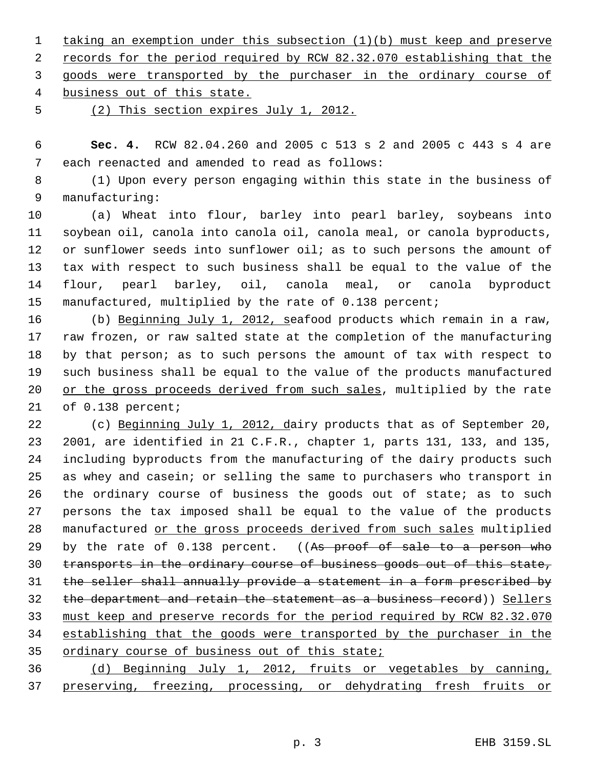taking an exemption under this subsection (1)(b) must keep and preserve 2 records for the period required by RCW 82.32.070 establishing that the goods were transported by the purchaser in the ordinary course of business out of this state.

(2) This section expires July 1, 2012.

 **Sec. 4.** RCW 82.04.260 and 2005 c 513 s 2 and 2005 c 443 s 4 are each reenacted and amended to read as follows:

 (1) Upon every person engaging within this state in the business of manufacturing:

 (a) Wheat into flour, barley into pearl barley, soybeans into soybean oil, canola into canola oil, canola meal, or canola byproducts, 12 or sunflower seeds into sunflower oil; as to such persons the amount of tax with respect to such business shall be equal to the value of the flour, pearl barley, oil, canola meal, or canola byproduct manufactured, multiplied by the rate of 0.138 percent;

 (b) Beginning July 1, 2012, seafood products which remain in a raw, raw frozen, or raw salted state at the completion of the manufacturing by that person; as to such persons the amount of tax with respect to such business shall be equal to the value of the products manufactured 20 or the gross proceeds derived from such sales, multiplied by the rate of 0.138 percent;

 (c) Beginning July 1, 2012, dairy products that as of September 20, 2001, are identified in 21 C.F.R., chapter 1, parts 131, 133, and 135, including byproducts from the manufacturing of the dairy products such as whey and casein; or selling the same to purchasers who transport in 26 the ordinary course of business the goods out of state; as to such persons the tax imposed shall be equal to the value of the products manufactured or the gross proceeds derived from such sales multiplied 29 by the rate of 0.138 percent. ((As proof of sale to a person who 30 transports in the ordinary course of business goods out of this state, the seller shall annually provide a statement in a form prescribed by 32 the department and retain the statement as a business record)) Sellers must keep and preserve records for the period required by RCW 82.32.070 establishing that the goods were transported by the purchaser in the 35 ordinary course of business out of this state;

 (d) Beginning July 1, 2012, fruits or vegetables by canning, preserving, freezing, processing, or dehydrating fresh fruits or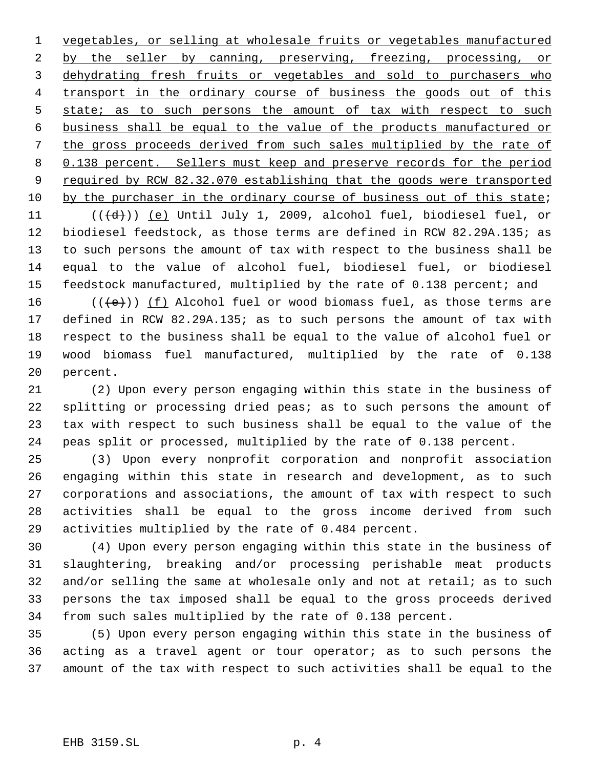vegetables, or selling at wholesale fruits or vegetables manufactured 2 by the seller by canning, preserving, freezing, processing, or 3 dehydrating fresh fruits or vegetables and sold to purchasers who 4 transport in the ordinary course of business the goods out of this 5 state; as to such persons the amount of tax with respect to such business shall be equal to the value of the products manufactured or the gross proceeds derived from such sales multiplied by the rate of 8 0.138 percent. Sellers must keep and preserve records for the period 9 required by RCW 82.32.070 establishing that the goods were transported 10 by the purchaser in the ordinary course of business out of this state; 11  $((\{d\}))(e)$  Until July 1, 2009, alcohol fuel, biodiesel fuel, or biodiesel feedstock, as those terms are defined in RCW 82.29A.135; as to such persons the amount of tax with respect to the business shall be equal to the value of alcohol fuel, biodiesel fuel, or biodiesel feedstock manufactured, multiplied by the rate of 0.138 percent; and

16 ( $(\overline{\left\langle e\right\rangle})$ ) <u>(f)</u> Alcohol fuel or wood biomass fuel, as those terms are defined in RCW 82.29A.135; as to such persons the amount of tax with respect to the business shall be equal to the value of alcohol fuel or wood biomass fuel manufactured, multiplied by the rate of 0.138 percent.

 (2) Upon every person engaging within this state in the business of splitting or processing dried peas; as to such persons the amount of tax with respect to such business shall be equal to the value of the peas split or processed, multiplied by the rate of 0.138 percent.

 (3) Upon every nonprofit corporation and nonprofit association engaging within this state in research and development, as to such corporations and associations, the amount of tax with respect to such activities shall be equal to the gross income derived from such activities multiplied by the rate of 0.484 percent.

 (4) Upon every person engaging within this state in the business of slaughtering, breaking and/or processing perishable meat products 32 and/or selling the same at wholesale only and not at retail; as to such persons the tax imposed shall be equal to the gross proceeds derived from such sales multiplied by the rate of 0.138 percent.

 (5) Upon every person engaging within this state in the business of acting as a travel agent or tour operator; as to such persons the amount of the tax with respect to such activities shall be equal to the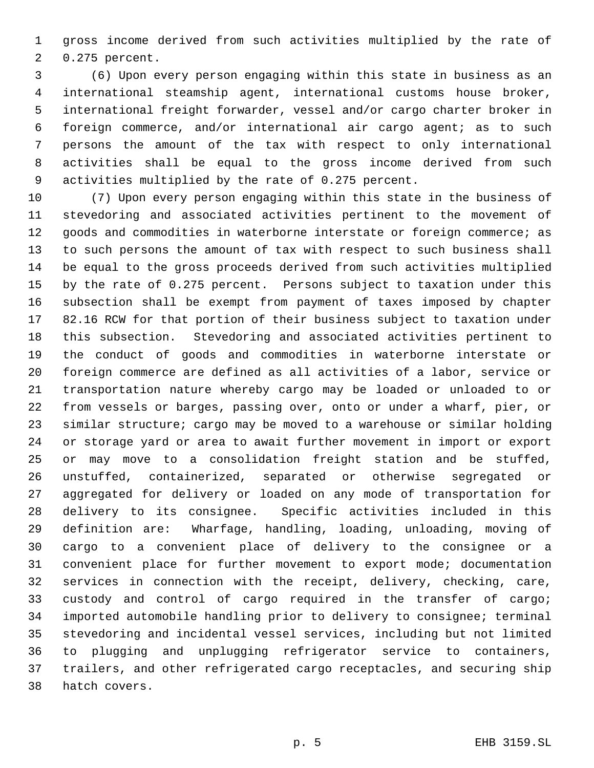gross income derived from such activities multiplied by the rate of 0.275 percent.

 (6) Upon every person engaging within this state in business as an international steamship agent, international customs house broker, international freight forwarder, vessel and/or cargo charter broker in foreign commerce, and/or international air cargo agent; as to such persons the amount of the tax with respect to only international activities shall be equal to the gross income derived from such activities multiplied by the rate of 0.275 percent.

 (7) Upon every person engaging within this state in the business of stevedoring and associated activities pertinent to the movement of 12 goods and commodities in waterborne interstate or foreign commerce; as to such persons the amount of tax with respect to such business shall be equal to the gross proceeds derived from such activities multiplied by the rate of 0.275 percent. Persons subject to taxation under this subsection shall be exempt from payment of taxes imposed by chapter 82.16 RCW for that portion of their business subject to taxation under this subsection. Stevedoring and associated activities pertinent to the conduct of goods and commodities in waterborne interstate or foreign commerce are defined as all activities of a labor, service or transportation nature whereby cargo may be loaded or unloaded to or from vessels or barges, passing over, onto or under a wharf, pier, or similar structure; cargo may be moved to a warehouse or similar holding or storage yard or area to await further movement in import or export or may move to a consolidation freight station and be stuffed, unstuffed, containerized, separated or otherwise segregated or aggregated for delivery or loaded on any mode of transportation for delivery to its consignee. Specific activities included in this definition are: Wharfage, handling, loading, unloading, moving of cargo to a convenient place of delivery to the consignee or a convenient place for further movement to export mode; documentation services in connection with the receipt, delivery, checking, care, custody and control of cargo required in the transfer of cargo; imported automobile handling prior to delivery to consignee; terminal stevedoring and incidental vessel services, including but not limited to plugging and unplugging refrigerator service to containers, trailers, and other refrigerated cargo receptacles, and securing ship hatch covers.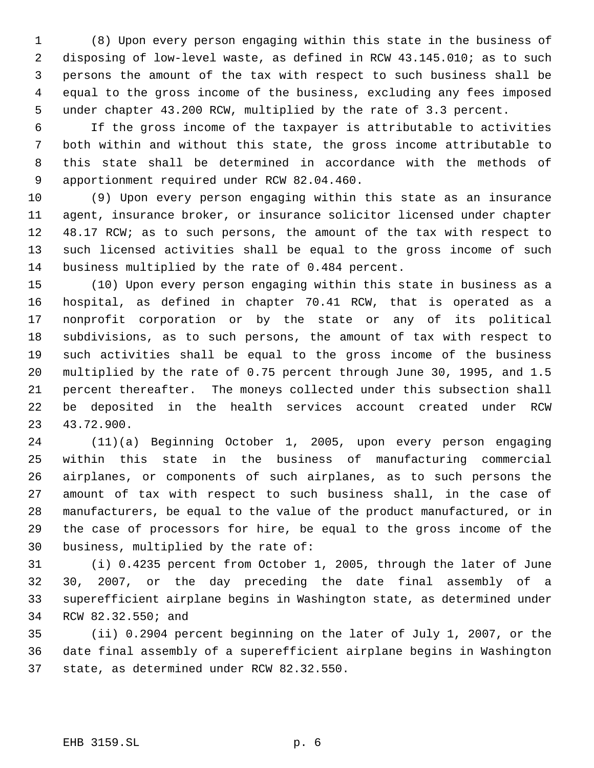(8) Upon every person engaging within this state in the business of disposing of low-level waste, as defined in RCW 43.145.010; as to such persons the amount of the tax with respect to such business shall be equal to the gross income of the business, excluding any fees imposed under chapter 43.200 RCW, multiplied by the rate of 3.3 percent.

 If the gross income of the taxpayer is attributable to activities both within and without this state, the gross income attributable to this state shall be determined in accordance with the methods of apportionment required under RCW 82.04.460.

 (9) Upon every person engaging within this state as an insurance agent, insurance broker, or insurance solicitor licensed under chapter 48.17 RCW; as to such persons, the amount of the tax with respect to such licensed activities shall be equal to the gross income of such business multiplied by the rate of 0.484 percent.

 (10) Upon every person engaging within this state in business as a hospital, as defined in chapter 70.41 RCW, that is operated as a nonprofit corporation or by the state or any of its political subdivisions, as to such persons, the amount of tax with respect to such activities shall be equal to the gross income of the business multiplied by the rate of 0.75 percent through June 30, 1995, and 1.5 percent thereafter. The moneys collected under this subsection shall be deposited in the health services account created under RCW 43.72.900.

 (11)(a) Beginning October 1, 2005, upon every person engaging within this state in the business of manufacturing commercial airplanes, or components of such airplanes, as to such persons the amount of tax with respect to such business shall, in the case of manufacturers, be equal to the value of the product manufactured, or in the case of processors for hire, be equal to the gross income of the business, multiplied by the rate of:

 (i) 0.4235 percent from October 1, 2005, through the later of June 30, 2007, or the day preceding the date final assembly of a superefficient airplane begins in Washington state, as determined under RCW 82.32.550; and

 (ii) 0.2904 percent beginning on the later of July 1, 2007, or the date final assembly of a superefficient airplane begins in Washington state, as determined under RCW 82.32.550.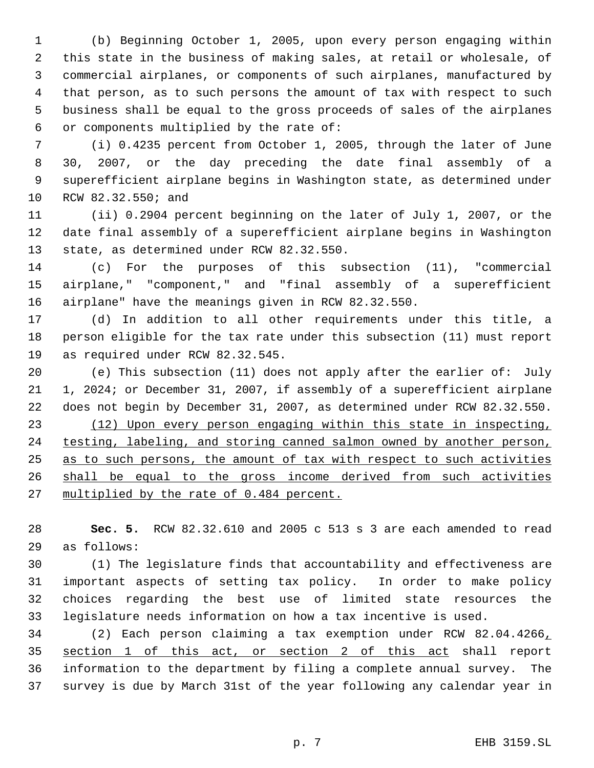(b) Beginning October 1, 2005, upon every person engaging within this state in the business of making sales, at retail or wholesale, of commercial airplanes, or components of such airplanes, manufactured by that person, as to such persons the amount of tax with respect to such business shall be equal to the gross proceeds of sales of the airplanes or components multiplied by the rate of:

 (i) 0.4235 percent from October 1, 2005, through the later of June 30, 2007, or the day preceding the date final assembly of a superefficient airplane begins in Washington state, as determined under RCW 82.32.550; and

 (ii) 0.2904 percent beginning on the later of July 1, 2007, or the date final assembly of a superefficient airplane begins in Washington state, as determined under RCW 82.32.550.

 (c) For the purposes of this subsection (11), "commercial airplane," "component," and "final assembly of a superefficient airplane" have the meanings given in RCW 82.32.550.

 (d) In addition to all other requirements under this title, a person eligible for the tax rate under this subsection (11) must report as required under RCW 82.32.545.

 (e) This subsection (11) does not apply after the earlier of: July 1, 2024; or December 31, 2007, if assembly of a superefficient airplane does not begin by December 31, 2007, as determined under RCW 82.32.550. (12) Upon every person engaging within this state in inspecting, 24 testing, labeling, and storing canned salmon owned by another person, 25 as to such persons, the amount of tax with respect to such activities shall be equal to the gross income derived from such activities 27 multiplied by the rate of 0.484 percent.

 **Sec. 5.** RCW 82.32.610 and 2005 c 513 s 3 are each amended to read as follows:

 (1) The legislature finds that accountability and effectiveness are important aspects of setting tax policy. In order to make policy choices regarding the best use of limited state resources the legislature needs information on how a tax incentive is used.

 (2) Each person claiming a tax exemption under RCW 82.04.4266, section 1 of this act, or section 2 of this act shall report information to the department by filing a complete annual survey. The survey is due by March 31st of the year following any calendar year in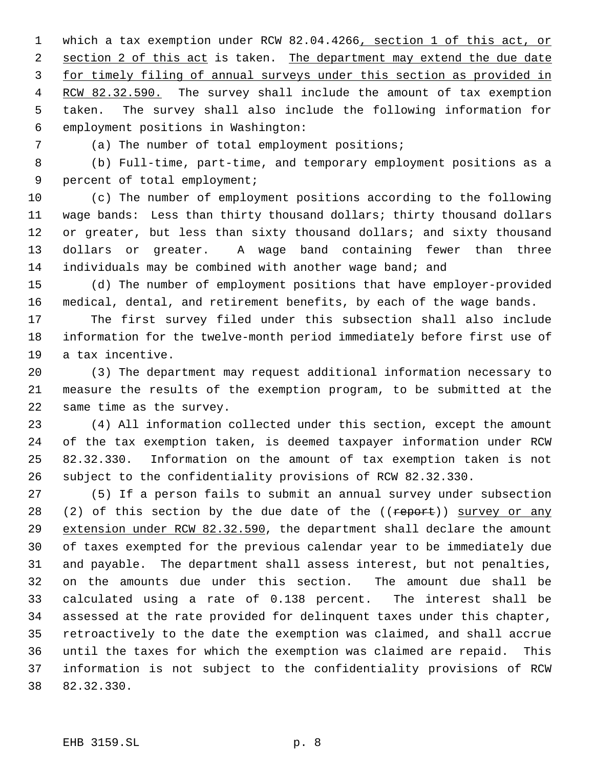1 which a tax exemption under RCW 82.04.4266, section 1 of this act, or 2 section 2 of this act is taken. The department may extend the due date for timely filing of annual surveys under this section as provided in 4 RCW 82.32.590. The survey shall include the amount of tax exemption taken. The survey shall also include the following information for employment positions in Washington:

(a) The number of total employment positions;

 (b) Full-time, part-time, and temporary employment positions as a percent of total employment;

 (c) The number of employment positions according to the following wage bands: Less than thirty thousand dollars; thirty thousand dollars 12 or greater, but less than sixty thousand dollars; and sixty thousand dollars or greater. A wage band containing fewer than three individuals may be combined with another wage band; and

 (d) The number of employment positions that have employer-provided medical, dental, and retirement benefits, by each of the wage bands.

 The first survey filed under this subsection shall also include information for the twelve-month period immediately before first use of a tax incentive.

 (3) The department may request additional information necessary to measure the results of the exemption program, to be submitted at the same time as the survey.

 (4) All information collected under this section, except the amount of the tax exemption taken, is deemed taxpayer information under RCW 82.32.330. Information on the amount of tax exemption taken is not subject to the confidentiality provisions of RCW 82.32.330.

 (5) If a person fails to submit an annual survey under subsection 28 (2) of this section by the due date of the  $((\text{report}))$  survey or any extension under RCW 82.32.590, the department shall declare the amount of taxes exempted for the previous calendar year to be immediately due and payable. The department shall assess interest, but not penalties, on the amounts due under this section. The amount due shall be calculated using a rate of 0.138 percent. The interest shall be assessed at the rate provided for delinquent taxes under this chapter, retroactively to the date the exemption was claimed, and shall accrue until the taxes for which the exemption was claimed are repaid. This information is not subject to the confidentiality provisions of RCW 82.32.330.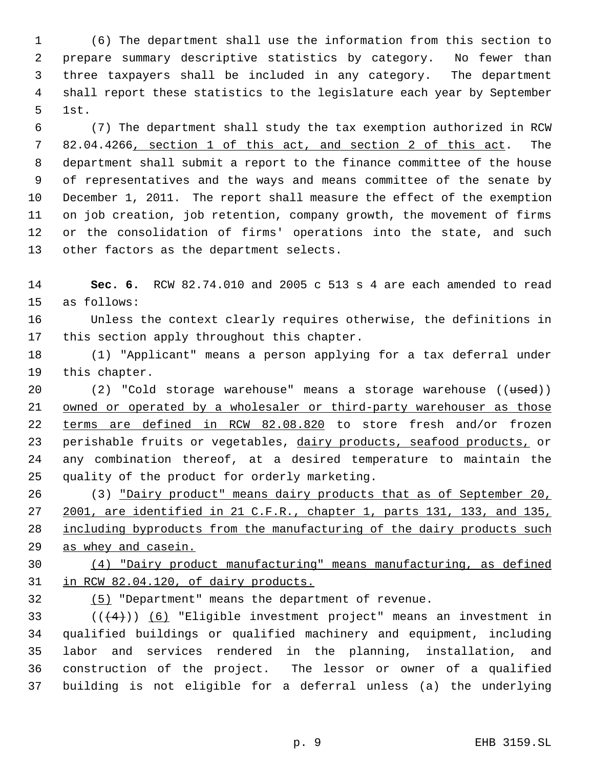(6) The department shall use the information from this section to prepare summary descriptive statistics by category. No fewer than three taxpayers shall be included in any category. The department shall report these statistics to the legislature each year by September 1st.

 (7) The department shall study the tax exemption authorized in RCW 82.04.4266, section 1 of this act, and section 2 of this act. The department shall submit a report to the finance committee of the house of representatives and the ways and means committee of the senate by December 1, 2011. The report shall measure the effect of the exemption on job creation, job retention, company growth, the movement of firms or the consolidation of firms' operations into the state, and such other factors as the department selects.

 **Sec. 6.** RCW 82.74.010 and 2005 c 513 s 4 are each amended to read as follows:

 Unless the context clearly requires otherwise, the definitions in this section apply throughout this chapter.

 (1) "Applicant" means a person applying for a tax deferral under this chapter.

20 (2) "Cold storage warehouse" means a storage warehouse ((used)) 21 owned or operated by a wholesaler or third-party warehouser as those terms are defined in RCW 82.08.820 to store fresh and/or frozen 23 perishable fruits or vegetables, dairy products, seafood products, or any combination thereof, at a desired temperature to maintain the quality of the product for orderly marketing.

 (3) "Dairy product" means dairy products that as of September 20, 2001, are identified in 21 C.F.R., chapter 1, parts 131, 133, and 135, 28 including byproducts from the manufacturing of the dairy products such as whey and casein.

 (4) "Dairy product manufacturing" means manufacturing, as defined in RCW 82.04.120, of dairy products.

(5) "Department" means the department of revenue.

33 ( $(\overline{4})$ ) (6) "Eligible investment project" means an investment in qualified buildings or qualified machinery and equipment, including labor and services rendered in the planning, installation, and construction of the project. The lessor or owner of a qualified building is not eligible for a deferral unless (a) the underlying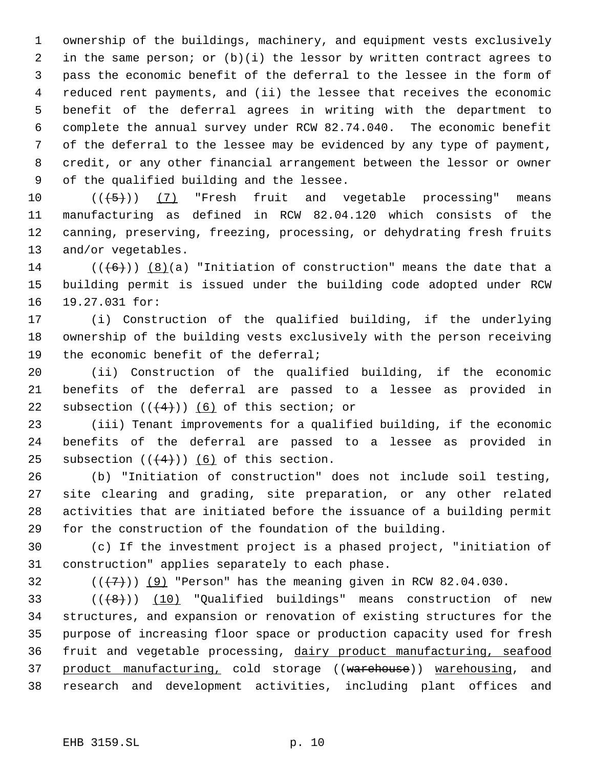ownership of the buildings, machinery, and equipment vests exclusively in the same person; or (b)(i) the lessor by written contract agrees to pass the economic benefit of the deferral to the lessee in the form of reduced rent payments, and (ii) the lessee that receives the economic benefit of the deferral agrees in writing with the department to complete the annual survey under RCW 82.74.040. The economic benefit of the deferral to the lessee may be evidenced by any type of payment, credit, or any other financial arrangement between the lessor or owner of the qualified building and the lessee.

 $((\overline{5})$  (7) "Fresh fruit and vegetable processing" means manufacturing as defined in RCW 82.04.120 which consists of the canning, preserving, freezing, processing, or dehydrating fresh fruits and/or vegetables.

14 ( $((+6))$  (8)(a) "Initiation of construction" means the date that a building permit is issued under the building code adopted under RCW 19.27.031 for:

 (i) Construction of the qualified building, if the underlying ownership of the building vests exclusively with the person receiving the economic benefit of the deferral;

 (ii) Construction of the qualified building, if the economic benefits of the deferral are passed to a lessee as provided in 22 subsection  $((4+))$  (6) of this section; or

 (iii) Tenant improvements for a qualified building, if the economic benefits of the deferral are passed to a lessee as provided in 25 subsection  $((+4))$  (6) of this section.

 (b) "Initiation of construction" does not include soil testing, site clearing and grading, site preparation, or any other related activities that are initiated before the issuance of a building permit for the construction of the foundation of the building.

 (c) If the investment project is a phased project, "initiation of construction" applies separately to each phase.

32  $((+7))$   $(9)$  "Person" has the meaning given in RCW 82.04.030.

 $((+8))$   $(10)$  "Qualified buildings" means construction of new structures, and expansion or renovation of existing structures for the purpose of increasing floor space or production capacity used for fresh fruit and vegetable processing, dairy product manufacturing, seafood 37 product manufacturing, cold storage ((warehouse)) warehousing, and research and development activities, including plant offices and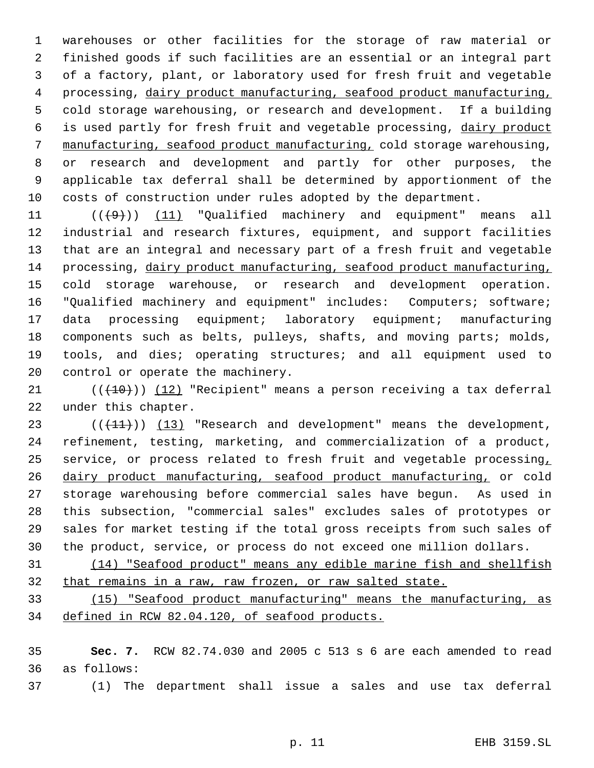warehouses or other facilities for the storage of raw material or finished goods if such facilities are an essential or an integral part of a factory, plant, or laboratory used for fresh fruit and vegetable processing, dairy product manufacturing, seafood product manufacturing, cold storage warehousing, or research and development. If a building is used partly for fresh fruit and vegetable processing, dairy product manufacturing, seafood product manufacturing, cold storage warehousing, or research and development and partly for other purposes, the applicable tax deferral shall be determined by apportionment of the costs of construction under rules adopted by the department.

 $((+9))$   $(11)$  "Qualified machinery and equipment" means all industrial and research fixtures, equipment, and support facilities that are an integral and necessary part of a fresh fruit and vegetable processing, dairy product manufacturing, seafood product manufacturing, cold storage warehouse, or research and development operation. "Qualified machinery and equipment" includes: Computers; software; 17 data processing equipment; laboratory equipment; manufacturing components such as belts, pulleys, shafts, and moving parts; molds, tools, and dies; operating structures; and all equipment used to control or operate the machinery.

21  $((+10))$   $(12)$  "Recipient" means a person receiving a tax deferral under this chapter.

23 (( $(11)$ )) (13) "Research and development" means the development, refinement, testing, marketing, and commercialization of a product, 25 service, or process related to fresh fruit and vegetable processing, dairy product manufacturing, seafood product manufacturing, or cold storage warehousing before commercial sales have begun. As used in this subsection, "commercial sales" excludes sales of prototypes or sales for market testing if the total gross receipts from such sales of the product, service, or process do not exceed one million dollars.

 (14) "Seafood product" means any edible marine fish and shellfish that remains in a raw, raw frozen, or raw salted state.

 (15) "Seafood product manufacturing" means the manufacturing, as defined in RCW 82.04.120, of seafood products.

 **Sec. 7.** RCW 82.74.030 and 2005 c 513 s 6 are each amended to read as follows:

(1) The department shall issue a sales and use tax deferral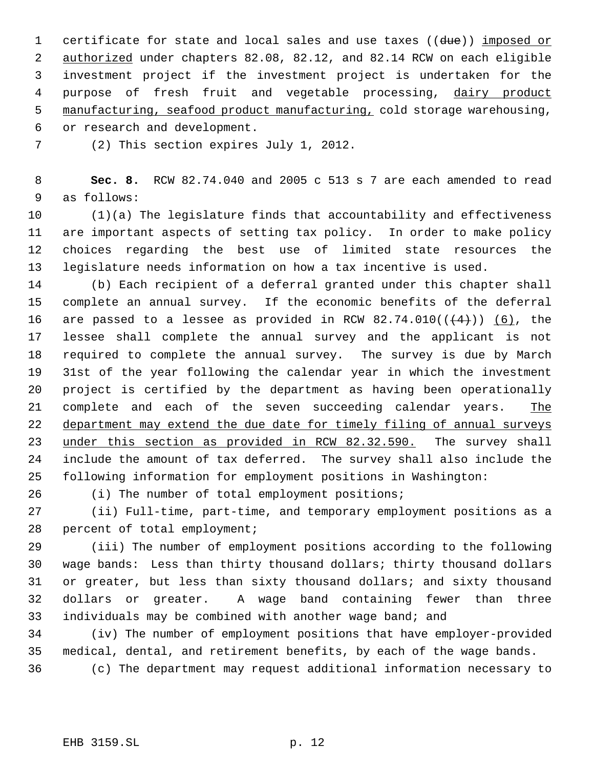1 certificate for state and local sales and use taxes ((due)) imposed or authorized under chapters 82.08, 82.12, and 82.14 RCW on each eligible investment project if the investment project is undertaken for the 4 purpose of fresh fruit and vegetable processing, dairy product manufacturing, seafood product manufacturing, cold storage warehousing,

or research and development.

(2) This section expires July 1, 2012.

 **Sec. 8.** RCW 82.74.040 and 2005 c 513 s 7 are each amended to read as follows:

 (1)(a) The legislature finds that accountability and effectiveness are important aspects of setting tax policy. In order to make policy choices regarding the best use of limited state resources the legislature needs information on how a tax incentive is used.

 (b) Each recipient of a deferral granted under this chapter shall complete an annual survey. If the economic benefits of the deferral 16 are passed to a lessee as provided in RCW  $82.74.010((\leftarrow 4))$  (6), the lessee shall complete the annual survey and the applicant is not required to complete the annual survey. The survey is due by March 31st of the year following the calendar year in which the investment project is certified by the department as having been operationally 21 complete and each of the seven succeeding calendar years. The 22 department may extend the due date for timely filing of annual surveys 23 under this section as provided in RCW 82.32.590. The survey shall include the amount of tax deferred. The survey shall also include the following information for employment positions in Washington:

(i) The number of total employment positions;

 (ii) Full-time, part-time, and temporary employment positions as a percent of total employment;

 (iii) The number of employment positions according to the following wage bands: Less than thirty thousand dollars; thirty thousand dollars or greater, but less than sixty thousand dollars; and sixty thousand dollars or greater. A wage band containing fewer than three individuals may be combined with another wage band; and

 (iv) The number of employment positions that have employer-provided medical, dental, and retirement benefits, by each of the wage bands.

(c) The department may request additional information necessary to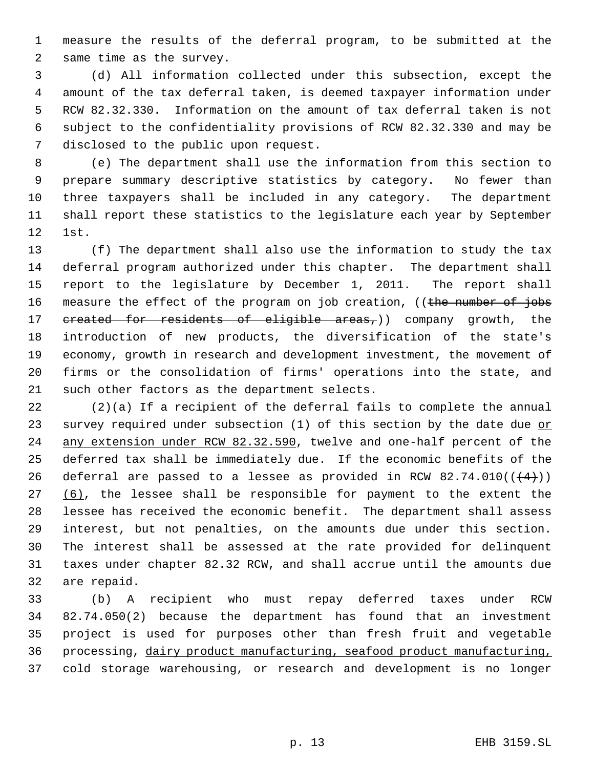measure the results of the deferral program, to be submitted at the same time as the survey.

 (d) All information collected under this subsection, except the amount of the tax deferral taken, is deemed taxpayer information under RCW 82.32.330. Information on the amount of tax deferral taken is not subject to the confidentiality provisions of RCW 82.32.330 and may be disclosed to the public upon request.

 (e) The department shall use the information from this section to prepare summary descriptive statistics by category. No fewer than three taxpayers shall be included in any category. The department shall report these statistics to the legislature each year by September 1st.

 (f) The department shall also use the information to study the tax deferral program authorized under this chapter. The department shall report to the legislature by December 1, 2011. The report shall 16 measure the effect of the program on job creation, ((the number of jobs 17 created for residents of eligible areas,)) company growth, the introduction of new products, the diversification of the state's economy, growth in research and development investment, the movement of firms or the consolidation of firms' operations into the state, and such other factors as the department selects.

 (2)(a) If a recipient of the deferral fails to complete the annual 23 survey required under subsection (1) of this section by the date due or any extension under RCW 82.32.590, twelve and one-half percent of the deferred tax shall be immediately due. If the economic benefits of the 26 deferral are passed to a lessee as provided in RCW 82.74.010( $(\frac{4}{4})$ )  $(6)$ , the lessee shall be responsible for payment to the extent the lessee has received the economic benefit. The department shall assess interest, but not penalties, on the amounts due under this section. The interest shall be assessed at the rate provided for delinquent taxes under chapter 82.32 RCW, and shall accrue until the amounts due are repaid.

 (b) A recipient who must repay deferred taxes under RCW 82.74.050(2) because the department has found that an investment project is used for purposes other than fresh fruit and vegetable processing, dairy product manufacturing, seafood product manufacturing, cold storage warehousing, or research and development is no longer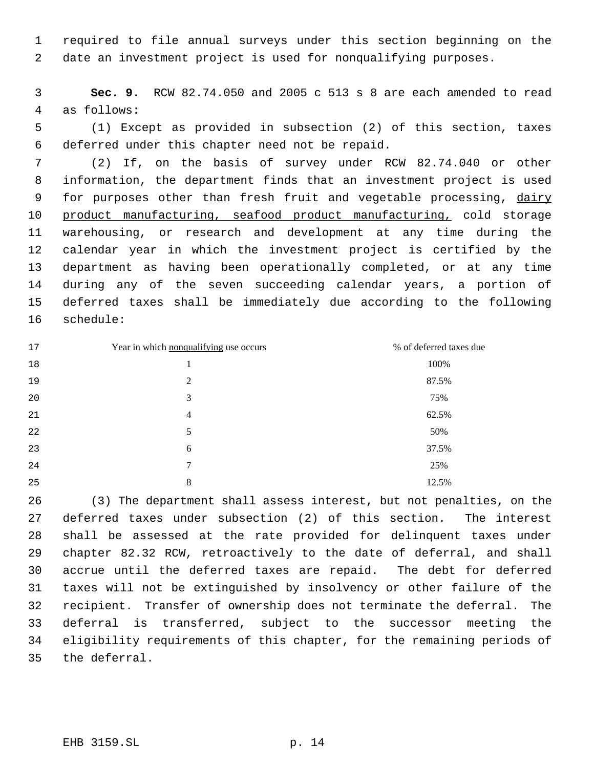required to file annual surveys under this section beginning on the date an investment project is used for nonqualifying purposes.

 **Sec. 9.** RCW 82.74.050 and 2005 c 513 s 8 are each amended to read as follows:

 (1) Except as provided in subsection (2) of this section, taxes deferred under this chapter need not be repaid.

 (2) If, on the basis of survey under RCW 82.74.040 or other information, the department finds that an investment project is used 9 for purposes other than fresh fruit and vegetable processing, dairy 10 product manufacturing, seafood product manufacturing, cold storage warehousing, or research and development at any time during the calendar year in which the investment project is certified by the department as having been operationally completed, or at any time during any of the seven succeeding calendar years, a portion of deferred taxes shall be immediately due according to the following schedule:

| 17 | Year in which nonqualifying use occurs | % of deferred taxes due |
|----|----------------------------------------|-------------------------|
| 18 |                                        | 100%                    |
| 19 | $\overline{2}$                         | 87.5%                   |
| 20 | 3                                      | 75%                     |
| 21 | $\overline{4}$                         | 62.5%                   |
| 22 | 5                                      | 50%                     |
| 23 | 6                                      | 37.5%                   |
| 24 | 7                                      | 25%                     |
| 25 | 8                                      | 12.5%                   |

 (3) The department shall assess interest, but not penalties, on the deferred taxes under subsection (2) of this section. The interest shall be assessed at the rate provided for delinquent taxes under chapter 82.32 RCW, retroactively to the date of deferral, and shall accrue until the deferred taxes are repaid. The debt for deferred taxes will not be extinguished by insolvency or other failure of the recipient. Transfer of ownership does not terminate the deferral. The deferral is transferred, subject to the successor meeting the eligibility requirements of this chapter, for the remaining periods of the deferral.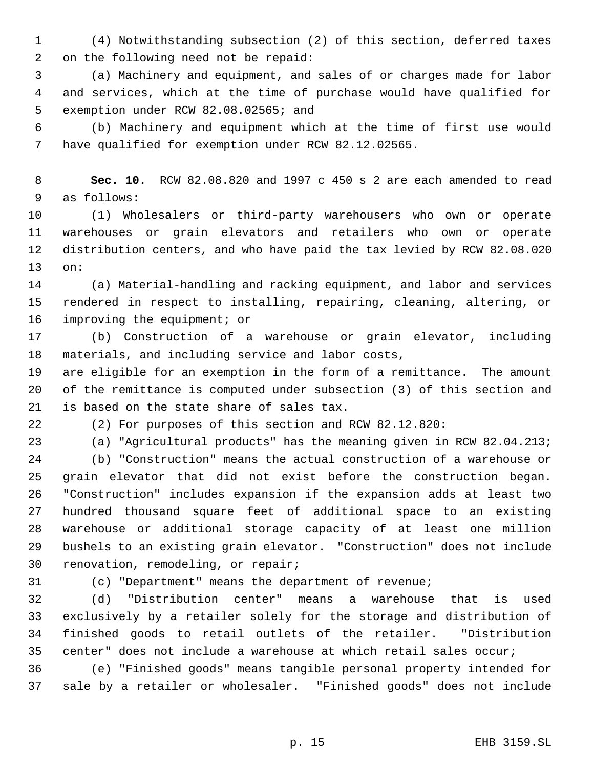(4) Notwithstanding subsection (2) of this section, deferred taxes on the following need not be repaid:

 (a) Machinery and equipment, and sales of or charges made for labor and services, which at the time of purchase would have qualified for exemption under RCW 82.08.02565; and

 (b) Machinery and equipment which at the time of first use would have qualified for exemption under RCW 82.12.02565.

 **Sec. 10.** RCW 82.08.820 and 1997 c 450 s 2 are each amended to read as follows:

 (1) Wholesalers or third-party warehousers who own or operate warehouses or grain elevators and retailers who own or operate distribution centers, and who have paid the tax levied by RCW 82.08.020 on:

 (a) Material-handling and racking equipment, and labor and services rendered in respect to installing, repairing, cleaning, altering, or 16 improving the equipment; or

 (b) Construction of a warehouse or grain elevator, including materials, and including service and labor costs,

 are eligible for an exemption in the form of a remittance. The amount of the remittance is computed under subsection (3) of this section and is based on the state share of sales tax.

(2) For purposes of this section and RCW 82.12.820:

 (a) "Agricultural products" has the meaning given in RCW 82.04.213; (b) "Construction" means the actual construction of a warehouse or grain elevator that did not exist before the construction began. "Construction" includes expansion if the expansion adds at least two hundred thousand square feet of additional space to an existing warehouse or additional storage capacity of at least one million bushels to an existing grain elevator. "Construction" does not include renovation, remodeling, or repair;

(c) "Department" means the department of revenue;

 (d) "Distribution center" means a warehouse that is used exclusively by a retailer solely for the storage and distribution of finished goods to retail outlets of the retailer. "Distribution center" does not include a warehouse at which retail sales occur;

 (e) "Finished goods" means tangible personal property intended for sale by a retailer or wholesaler. "Finished goods" does not include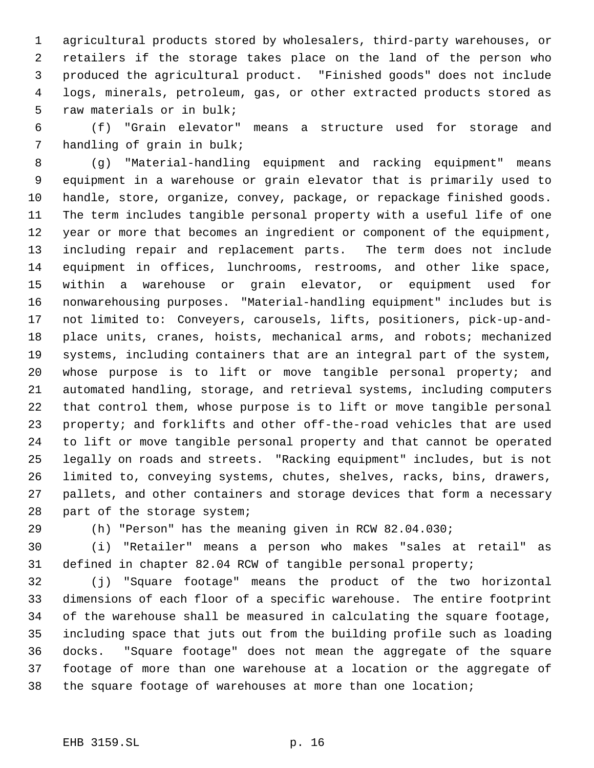agricultural products stored by wholesalers, third-party warehouses, or retailers if the storage takes place on the land of the person who produced the agricultural product. "Finished goods" does not include logs, minerals, petroleum, gas, or other extracted products stored as raw materials or in bulk;

 (f) "Grain elevator" means a structure used for storage and handling of grain in bulk;

 (g) "Material-handling equipment and racking equipment" means equipment in a warehouse or grain elevator that is primarily used to handle, store, organize, convey, package, or repackage finished goods. The term includes tangible personal property with a useful life of one year or more that becomes an ingredient or component of the equipment, including repair and replacement parts. The term does not include equipment in offices, lunchrooms, restrooms, and other like space, within a warehouse or grain elevator, or equipment used for nonwarehousing purposes. "Material-handling equipment" includes but is not limited to: Conveyers, carousels, lifts, positioners, pick-up-and- place units, cranes, hoists, mechanical arms, and robots; mechanized systems, including containers that are an integral part of the system, whose purpose is to lift or move tangible personal property; and automated handling, storage, and retrieval systems, including computers that control them, whose purpose is to lift or move tangible personal property; and forklifts and other off-the-road vehicles that are used to lift or move tangible personal property and that cannot be operated legally on roads and streets. "Racking equipment" includes, but is not limited to, conveying systems, chutes, shelves, racks, bins, drawers, pallets, and other containers and storage devices that form a necessary part of the storage system;

(h) "Person" has the meaning given in RCW 82.04.030;

 (i) "Retailer" means a person who makes "sales at retail" as defined in chapter 82.04 RCW of tangible personal property;

 (j) "Square footage" means the product of the two horizontal dimensions of each floor of a specific warehouse. The entire footprint of the warehouse shall be measured in calculating the square footage, including space that juts out from the building profile such as loading docks. "Square footage" does not mean the aggregate of the square footage of more than one warehouse at a location or the aggregate of the square footage of warehouses at more than one location;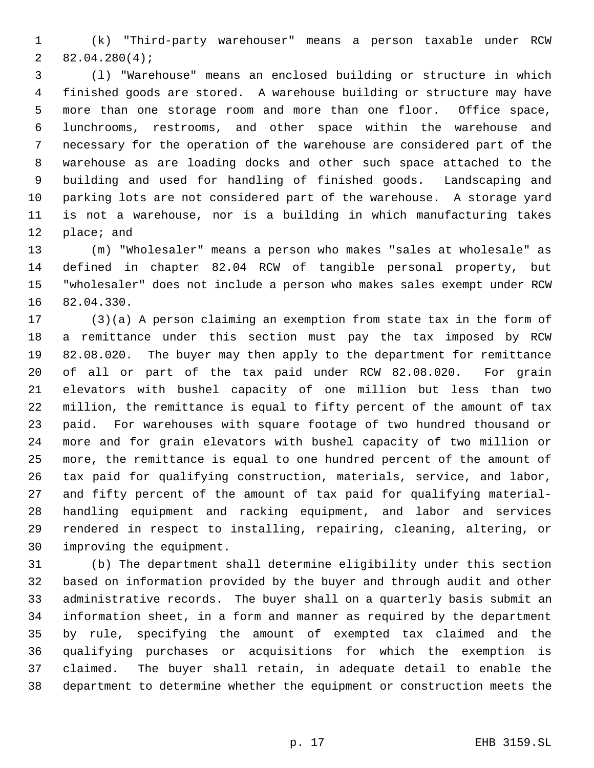(k) "Third-party warehouser" means a person taxable under RCW 82.04.280(4);

 (l) "Warehouse" means an enclosed building or structure in which finished goods are stored. A warehouse building or structure may have more than one storage room and more than one floor. Office space, lunchrooms, restrooms, and other space within the warehouse and necessary for the operation of the warehouse are considered part of the warehouse as are loading docks and other such space attached to the building and used for handling of finished goods. Landscaping and parking lots are not considered part of the warehouse. A storage yard is not a warehouse, nor is a building in which manufacturing takes place; and

 (m) "Wholesaler" means a person who makes "sales at wholesale" as defined in chapter 82.04 RCW of tangible personal property, but "wholesaler" does not include a person who makes sales exempt under RCW 82.04.330.

 (3)(a) A person claiming an exemption from state tax in the form of a remittance under this section must pay the tax imposed by RCW 82.08.020. The buyer may then apply to the department for remittance of all or part of the tax paid under RCW 82.08.020. For grain elevators with bushel capacity of one million but less than two million, the remittance is equal to fifty percent of the amount of tax paid. For warehouses with square footage of two hundred thousand or more and for grain elevators with bushel capacity of two million or more, the remittance is equal to one hundred percent of the amount of tax paid for qualifying construction, materials, service, and labor, and fifty percent of the amount of tax paid for qualifying material- handling equipment and racking equipment, and labor and services rendered in respect to installing, repairing, cleaning, altering, or improving the equipment.

 (b) The department shall determine eligibility under this section based on information provided by the buyer and through audit and other administrative records. The buyer shall on a quarterly basis submit an information sheet, in a form and manner as required by the department by rule, specifying the amount of exempted tax claimed and the qualifying purchases or acquisitions for which the exemption is claimed. The buyer shall retain, in adequate detail to enable the department to determine whether the equipment or construction meets the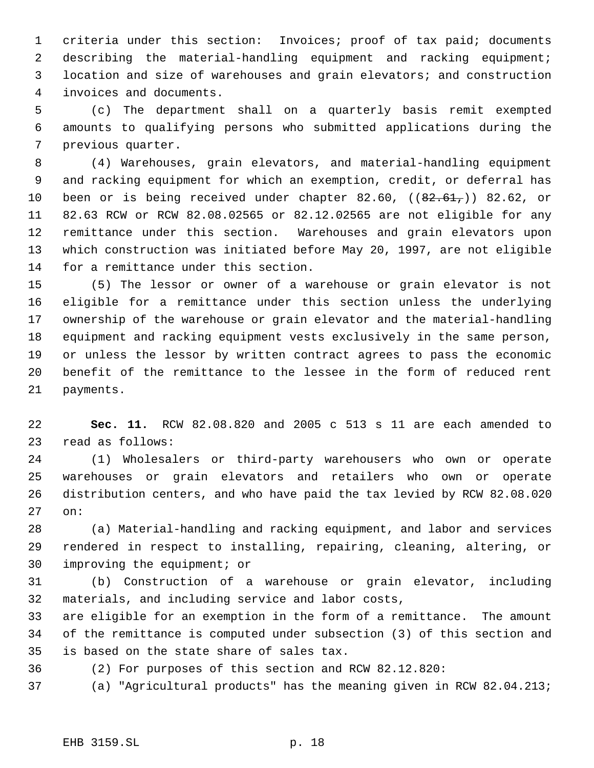criteria under this section: Invoices; proof of tax paid; documents describing the material-handling equipment and racking equipment; location and size of warehouses and grain elevators; and construction invoices and documents.

 (c) The department shall on a quarterly basis remit exempted amounts to qualifying persons who submitted applications during the previous quarter.

 (4) Warehouses, grain elevators, and material-handling equipment and racking equipment for which an exemption, credit, or deferral has 10 been or is being received under chapter 82.60,  $((82.61,))$  82.62, or 82.63 RCW or RCW 82.08.02565 or 82.12.02565 are not eligible for any remittance under this section. Warehouses and grain elevators upon which construction was initiated before May 20, 1997, are not eligible for a remittance under this section.

 (5) The lessor or owner of a warehouse or grain elevator is not eligible for a remittance under this section unless the underlying ownership of the warehouse or grain elevator and the material-handling equipment and racking equipment vests exclusively in the same person, or unless the lessor by written contract agrees to pass the economic benefit of the remittance to the lessee in the form of reduced rent payments.

 **Sec. 11.** RCW 82.08.820 and 2005 c 513 s 11 are each amended to read as follows:

 (1) Wholesalers or third-party warehousers who own or operate warehouses or grain elevators and retailers who own or operate distribution centers, and who have paid the tax levied by RCW 82.08.020 on:

 (a) Material-handling and racking equipment, and labor and services rendered in respect to installing, repairing, cleaning, altering, or improving the equipment; or

 (b) Construction of a warehouse or grain elevator, including materials, and including service and labor costs,

 are eligible for an exemption in the form of a remittance. The amount of the remittance is computed under subsection (3) of this section and is based on the state share of sales tax.

(2) For purposes of this section and RCW 82.12.820:

(a) "Agricultural products" has the meaning given in RCW 82.04.213;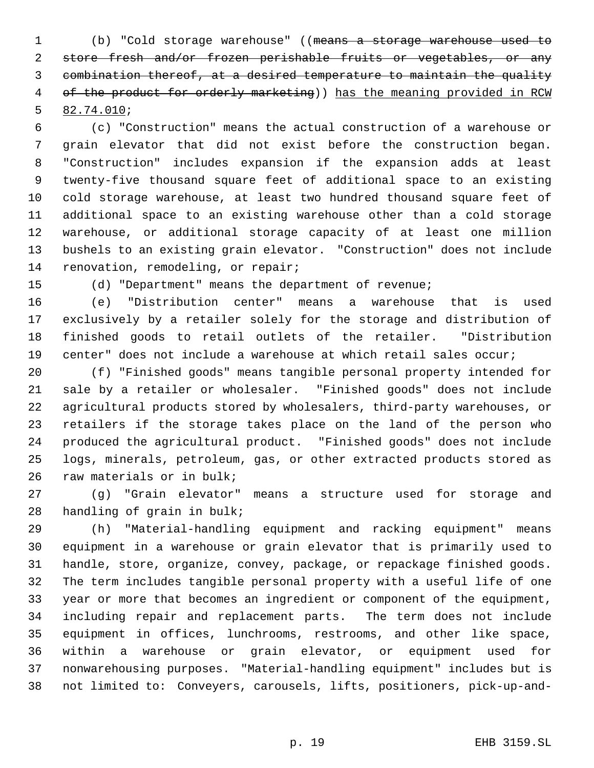(b) "Cold storage warehouse" ((means a storage warehouse used to store fresh and/or frozen perishable fruits or vegetables, or any combination thereof, at a desired temperature to maintain the quality 4 of the product for orderly marketing)) has the meaning provided in RCW 82.74.010;

 (c) "Construction" means the actual construction of a warehouse or grain elevator that did not exist before the construction began. "Construction" includes expansion if the expansion adds at least twenty-five thousand square feet of additional space to an existing cold storage warehouse, at least two hundred thousand square feet of additional space to an existing warehouse other than a cold storage warehouse, or additional storage capacity of at least one million bushels to an existing grain elevator. "Construction" does not include 14 renovation, remodeling, or repair;

(d) "Department" means the department of revenue;

 (e) "Distribution center" means a warehouse that is used exclusively by a retailer solely for the storage and distribution of finished goods to retail outlets of the retailer. "Distribution center" does not include a warehouse at which retail sales occur;

 (f) "Finished goods" means tangible personal property intended for sale by a retailer or wholesaler. "Finished goods" does not include agricultural products stored by wholesalers, third-party warehouses, or retailers if the storage takes place on the land of the person who produced the agricultural product. "Finished goods" does not include logs, minerals, petroleum, gas, or other extracted products stored as raw materials or in bulk;

 (g) "Grain elevator" means a structure used for storage and handling of grain in bulk;

 (h) "Material-handling equipment and racking equipment" means equipment in a warehouse or grain elevator that is primarily used to handle, store, organize, convey, package, or repackage finished goods. The term includes tangible personal property with a useful life of one year or more that becomes an ingredient or component of the equipment, including repair and replacement parts. The term does not include equipment in offices, lunchrooms, restrooms, and other like space, within a warehouse or grain elevator, or equipment used for nonwarehousing purposes. "Material-handling equipment" includes but is not limited to: Conveyers, carousels, lifts, positioners, pick-up-and-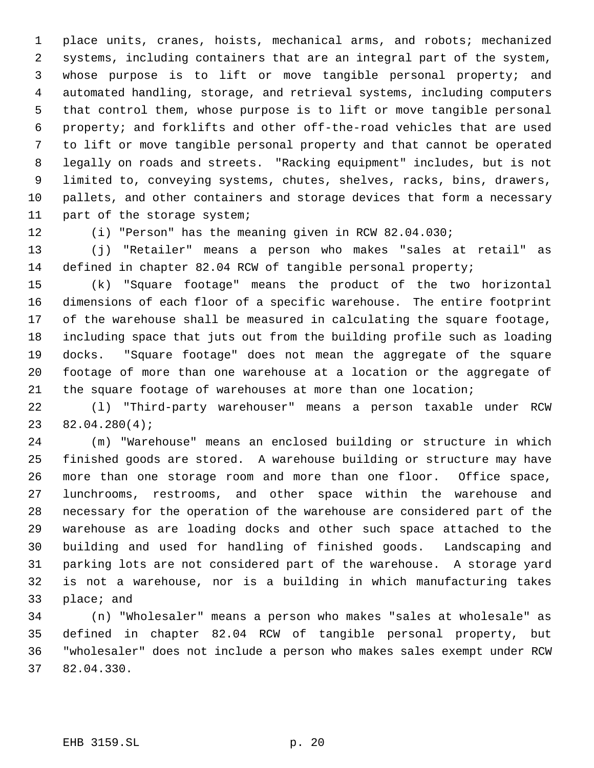place units, cranes, hoists, mechanical arms, and robots; mechanized systems, including containers that are an integral part of the system, whose purpose is to lift or move tangible personal property; and automated handling, storage, and retrieval systems, including computers that control them, whose purpose is to lift or move tangible personal property; and forklifts and other off-the-road vehicles that are used to lift or move tangible personal property and that cannot be operated legally on roads and streets. "Racking equipment" includes, but is not limited to, conveying systems, chutes, shelves, racks, bins, drawers, pallets, and other containers and storage devices that form a necessary part of the storage system;

(i) "Person" has the meaning given in RCW 82.04.030;

 (j) "Retailer" means a person who makes "sales at retail" as defined in chapter 82.04 RCW of tangible personal property;

 (k) "Square footage" means the product of the two horizontal dimensions of each floor of a specific warehouse. The entire footprint of the warehouse shall be measured in calculating the square footage, including space that juts out from the building profile such as loading docks. "Square footage" does not mean the aggregate of the square footage of more than one warehouse at a location or the aggregate of the square footage of warehouses at more than one location;

 (l) "Third-party warehouser" means a person taxable under RCW 82.04.280(4);

 (m) "Warehouse" means an enclosed building or structure in which finished goods are stored. A warehouse building or structure may have more than one storage room and more than one floor. Office space, lunchrooms, restrooms, and other space within the warehouse and necessary for the operation of the warehouse are considered part of the warehouse as are loading docks and other such space attached to the building and used for handling of finished goods. Landscaping and parking lots are not considered part of the warehouse. A storage yard is not a warehouse, nor is a building in which manufacturing takes place; and

 (n) "Wholesaler" means a person who makes "sales at wholesale" as defined in chapter 82.04 RCW of tangible personal property, but "wholesaler" does not include a person who makes sales exempt under RCW 82.04.330.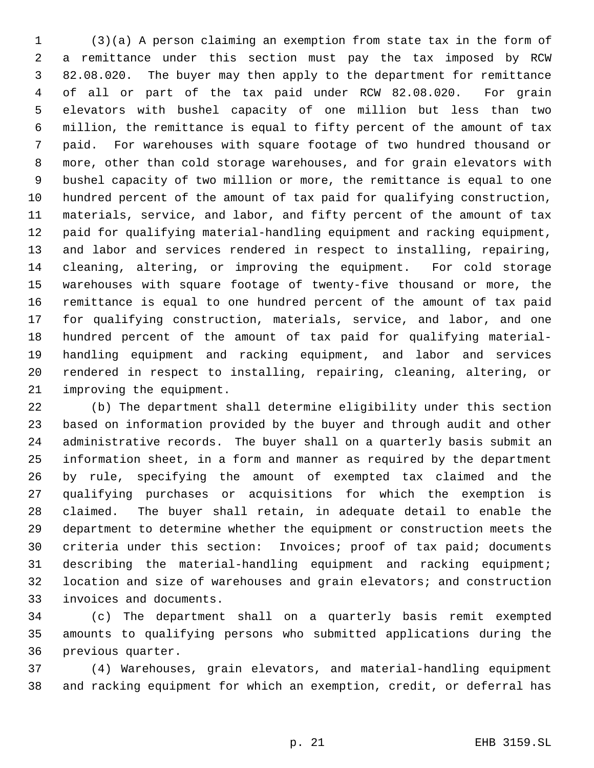(3)(a) A person claiming an exemption from state tax in the form of a remittance under this section must pay the tax imposed by RCW 82.08.020. The buyer may then apply to the department for remittance of all or part of the tax paid under RCW 82.08.020. For grain elevators with bushel capacity of one million but less than two million, the remittance is equal to fifty percent of the amount of tax paid. For warehouses with square footage of two hundred thousand or more, other than cold storage warehouses, and for grain elevators with bushel capacity of two million or more, the remittance is equal to one hundred percent of the amount of tax paid for qualifying construction, materials, service, and labor, and fifty percent of the amount of tax paid for qualifying material-handling equipment and racking equipment, and labor and services rendered in respect to installing, repairing, cleaning, altering, or improving the equipment. For cold storage warehouses with square footage of twenty-five thousand or more, the remittance is equal to one hundred percent of the amount of tax paid for qualifying construction, materials, service, and labor, and one hundred percent of the amount of tax paid for qualifying material- handling equipment and racking equipment, and labor and services rendered in respect to installing, repairing, cleaning, altering, or improving the equipment.

 (b) The department shall determine eligibility under this section based on information provided by the buyer and through audit and other administrative records. The buyer shall on a quarterly basis submit an information sheet, in a form and manner as required by the department by rule, specifying the amount of exempted tax claimed and the qualifying purchases or acquisitions for which the exemption is claimed. The buyer shall retain, in adequate detail to enable the department to determine whether the equipment or construction meets the criteria under this section: Invoices; proof of tax paid; documents describing the material-handling equipment and racking equipment; location and size of warehouses and grain elevators; and construction invoices and documents.

 (c) The department shall on a quarterly basis remit exempted amounts to qualifying persons who submitted applications during the previous quarter.

 (4) Warehouses, grain elevators, and material-handling equipment and racking equipment for which an exemption, credit, or deferral has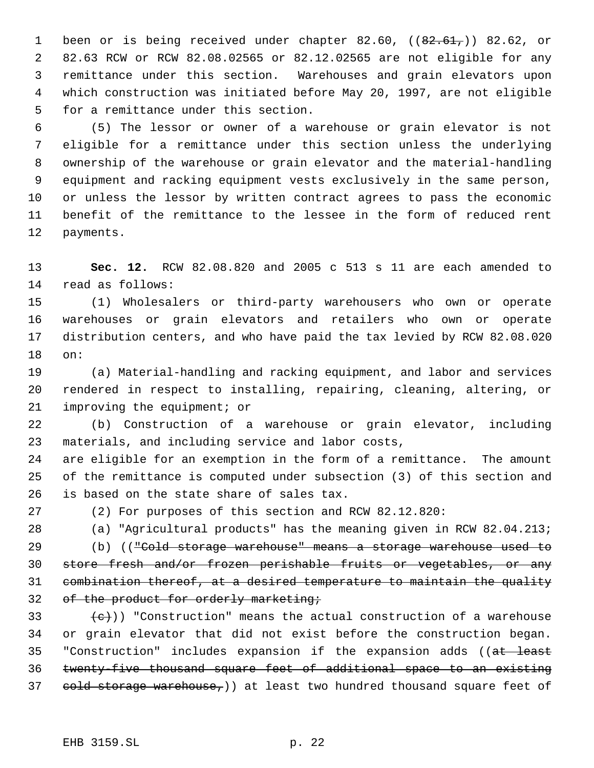1 been or is being received under chapter 82.60,  $((82.61,))$  82.62, or 82.63 RCW or RCW 82.08.02565 or 82.12.02565 are not eligible for any remittance under this section. Warehouses and grain elevators upon which construction was initiated before May 20, 1997, are not eligible for a remittance under this section.

 (5) The lessor or owner of a warehouse or grain elevator is not eligible for a remittance under this section unless the underlying ownership of the warehouse or grain elevator and the material-handling equipment and racking equipment vests exclusively in the same person, or unless the lessor by written contract agrees to pass the economic benefit of the remittance to the lessee in the form of reduced rent payments.

 **Sec. 12.** RCW 82.08.820 and 2005 c 513 s 11 are each amended to read as follows:

 (1) Wholesalers or third-party warehousers who own or operate warehouses or grain elevators and retailers who own or operate distribution centers, and who have paid the tax levied by RCW 82.08.020 on:

 (a) Material-handling and racking equipment, and labor and services rendered in respect to installing, repairing, cleaning, altering, or improving the equipment; or

 (b) Construction of a warehouse or grain elevator, including materials, and including service and labor costs,

 are eligible for an exemption in the form of a remittance. The amount of the remittance is computed under subsection (3) of this section and is based on the state share of sales tax.

(2) For purposes of this section and RCW 82.12.820:

(a) "Agricultural products" has the meaning given in RCW 82.04.213;

29 (b) ((<del>"Cold storage warehouse" means a storage warehouse used to</del> 30 store fresh and/or frozen perishable fruits or vegetables, or any combination thereof, at a desired temperature to maintain the quality 32 of the product for orderly marketing;

33  $\{e\}\)$  "Construction" means the actual construction of a warehouse or grain elevator that did not exist before the construction began. 35 "Construction" includes expansion if the expansion adds ((at least twenty-five thousand square feet of additional space to an existing 37 cold storage warehouse,) at least two hundred thousand square feet of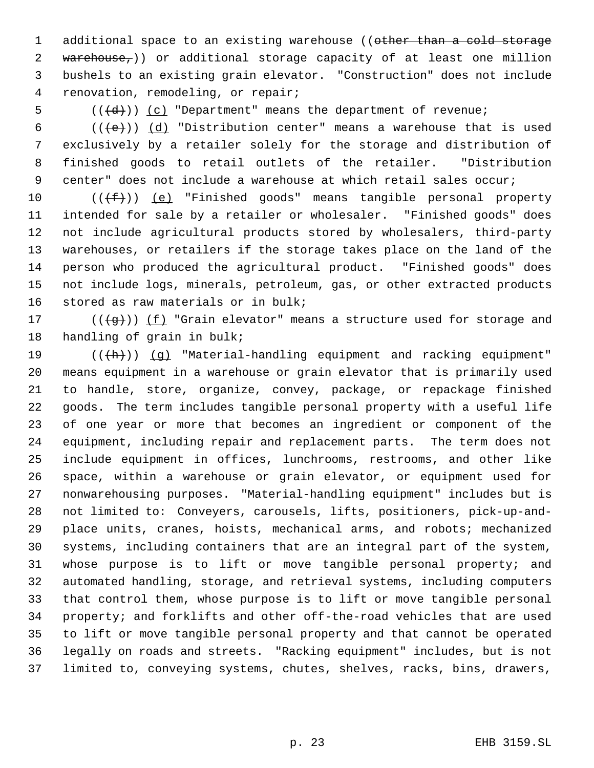1 additional space to an existing warehouse ((other than a cold storage 2 warehouse,)) or additional storage capacity of at least one million bushels to an existing grain elevator. "Construction" does not include renovation, remodeling, or repair;

5  $((\{d\}))(c)$  "Department" means the department of revenue;

6 (( $\left(\frac{1}{e}\right)$ ) (d) "Distribution center" means a warehouse that is used exclusively by a retailer solely for the storage and distribution of finished goods to retail outlets of the retailer. "Distribution 9 center" does not include a warehouse at which retail sales occur;

 $((\text{#}))$  (e) "Finished goods" means tangible personal property intended for sale by a retailer or wholesaler. "Finished goods" does not include agricultural products stored by wholesalers, third-party warehouses, or retailers if the storage takes place on the land of the person who produced the agricultural product. "Finished goods" does not include logs, minerals, petroleum, gas, or other extracted products stored as raw materials or in bulk;

17 ( $(\frac{1}{9})$ ) (f) "Grain elevator" means a structure used for storage and handling of grain in bulk;

19 (( $\frac{h}{h}$ )) (g) "Material-handling equipment and racking equipment" means equipment in a warehouse or grain elevator that is primarily used to handle, store, organize, convey, package, or repackage finished goods. The term includes tangible personal property with a useful life of one year or more that becomes an ingredient or component of the equipment, including repair and replacement parts. The term does not include equipment in offices, lunchrooms, restrooms, and other like space, within a warehouse or grain elevator, or equipment used for nonwarehousing purposes. "Material-handling equipment" includes but is not limited to: Conveyers, carousels, lifts, positioners, pick-up-and- place units, cranes, hoists, mechanical arms, and robots; mechanized systems, including containers that are an integral part of the system, whose purpose is to lift or move tangible personal property; and automated handling, storage, and retrieval systems, including computers that control them, whose purpose is to lift or move tangible personal property; and forklifts and other off-the-road vehicles that are used to lift or move tangible personal property and that cannot be operated legally on roads and streets. "Racking equipment" includes, but is not limited to, conveying systems, chutes, shelves, racks, bins, drawers,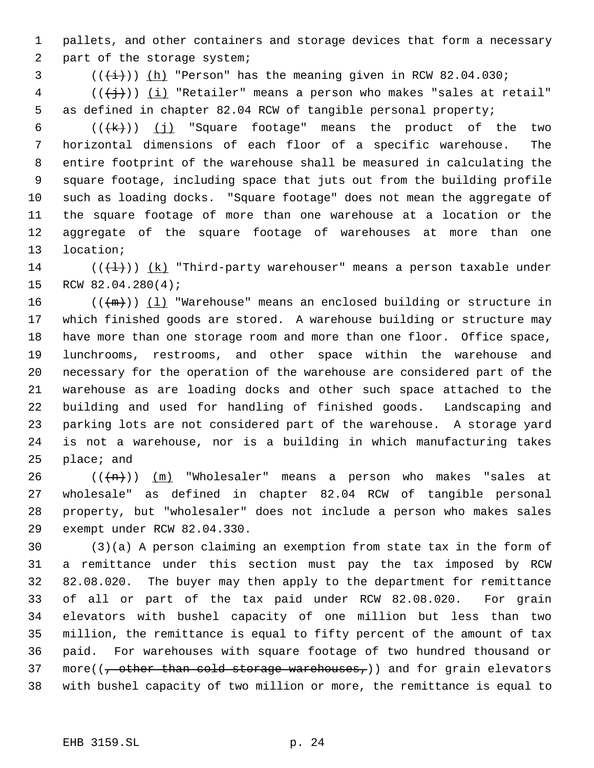pallets, and other containers and storage devices that form a necessary part of the storage system;

 $\left(\frac{1}{1} \cdot 0\right)$  (( $\frac{1}{1}$ ) (h) "Person" has the meaning given in RCW 82.04.030;

 (( $\left(\frac{1}{2}$ )) <u>(i)</u> "Retailer" means a person who makes "sales at retail" as defined in chapter 82.04 RCW of tangible personal property;

 $((+k))$  (j) "Square footage" means the product of the two horizontal dimensions of each floor of a specific warehouse. The entire footprint of the warehouse shall be measured in calculating the square footage, including space that juts out from the building profile such as loading docks. "Square footage" does not mean the aggregate of the square footage of more than one warehouse at a location or the aggregate of the square footage of warehouses at more than one location;

14 ( $(\overline{+1})$ )  $(k)$  "Third-party warehouser" means a person taxable under RCW 82.04.280(4);

 $((+m))$   $(1)$  "Warehouse" means an enclosed building or structure in which finished goods are stored. A warehouse building or structure may have more than one storage room and more than one floor. Office space, lunchrooms, restrooms, and other space within the warehouse and necessary for the operation of the warehouse are considered part of the warehouse as are loading docks and other such space attached to the building and used for handling of finished goods. Landscaping and parking lots are not considered part of the warehouse. A storage yard is not a warehouse, nor is a building in which manufacturing takes place; and

 $((+n))$   $(m)$  "Wholesaler" means a person who makes "sales at wholesale" as defined in chapter 82.04 RCW of tangible personal property, but "wholesaler" does not include a person who makes sales exempt under RCW 82.04.330.

 (3)(a) A person claiming an exemption from state tax in the form of a remittance under this section must pay the tax imposed by RCW 82.08.020. The buyer may then apply to the department for remittance of all or part of the tax paid under RCW 82.08.020. For grain elevators with bushel capacity of one million but less than two million, the remittance is equal to fifty percent of the amount of tax paid. For warehouses with square footage of two hundred thousand or 37 more( $\left(\frac{1}{f} \text{ other than cold storage wavelengths}\right)$ ) and for grain elevators with bushel capacity of two million or more, the remittance is equal to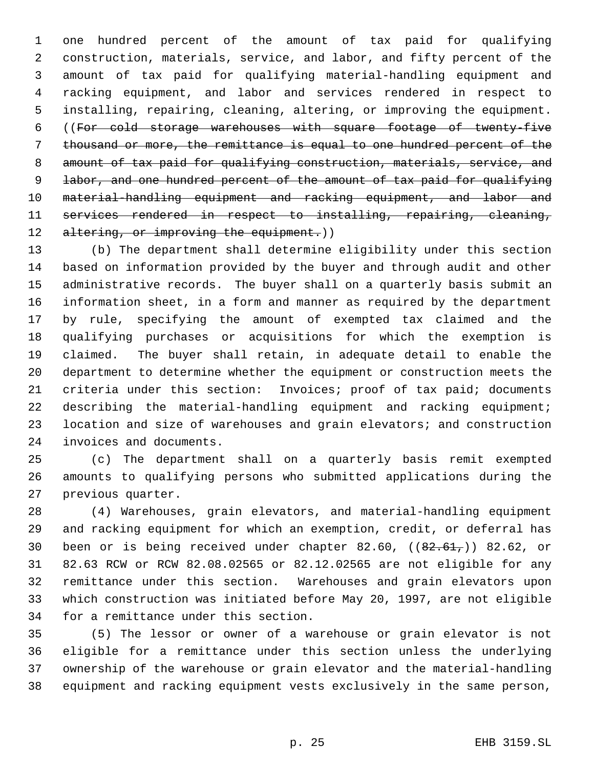one hundred percent of the amount of tax paid for qualifying construction, materials, service, and labor, and fifty percent of the amount of tax paid for qualifying material-handling equipment and racking equipment, and labor and services rendered in respect to installing, repairing, cleaning, altering, or improving the equipment. ((For cold storage warehouses with square footage of twenty-five thousand or more, the remittance is equal to one hundred percent of the 8 amount of tax paid for qualifying construction, materials, service, and 9 labor, and one hundred percent of the amount of tax paid for qualifying material-handling equipment and racking equipment, and labor and services rendered in respect to installing, repairing, cleaning, 12 altering, or improving the equipment.))

 (b) The department shall determine eligibility under this section based on information provided by the buyer and through audit and other administrative records. The buyer shall on a quarterly basis submit an information sheet, in a form and manner as required by the department by rule, specifying the amount of exempted tax claimed and the qualifying purchases or acquisitions for which the exemption is claimed. The buyer shall retain, in adequate detail to enable the department to determine whether the equipment or construction meets the criteria under this section: Invoices; proof of tax paid; documents describing the material-handling equipment and racking equipment; location and size of warehouses and grain elevators; and construction invoices and documents.

 (c) The department shall on a quarterly basis remit exempted amounts to qualifying persons who submitted applications during the previous quarter.

 (4) Warehouses, grain elevators, and material-handling equipment and racking equipment for which an exemption, credit, or deferral has 30 been or is being received under chapter 82.60,  $((82.61,))$  82.62, or 82.63 RCW or RCW 82.08.02565 or 82.12.02565 are not eligible for any remittance under this section. Warehouses and grain elevators upon which construction was initiated before May 20, 1997, are not eligible for a remittance under this section.

 (5) The lessor or owner of a warehouse or grain elevator is not eligible for a remittance under this section unless the underlying ownership of the warehouse or grain elevator and the material-handling equipment and racking equipment vests exclusively in the same person,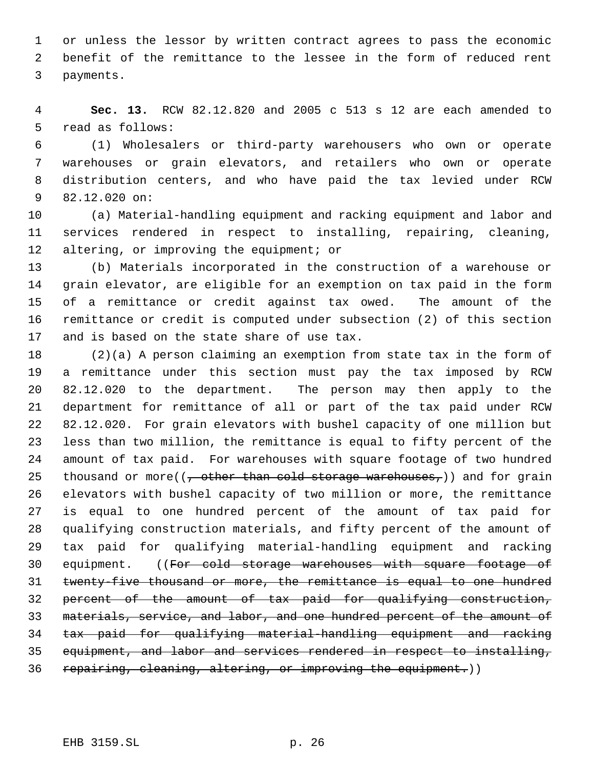or unless the lessor by written contract agrees to pass the economic benefit of the remittance to the lessee in the form of reduced rent payments.

 **Sec. 13.** RCW 82.12.820 and 2005 c 513 s 12 are each amended to read as follows:

 (1) Wholesalers or third-party warehousers who own or operate warehouses or grain elevators, and retailers who own or operate distribution centers, and who have paid the tax levied under RCW 82.12.020 on:

 (a) Material-handling equipment and racking equipment and labor and services rendered in respect to installing, repairing, cleaning, 12 altering, or improving the equipment; or

 (b) Materials incorporated in the construction of a warehouse or grain elevator, are eligible for an exemption on tax paid in the form of a remittance or credit against tax owed. The amount of the remittance or credit is computed under subsection (2) of this section and is based on the state share of use tax.

 (2)(a) A person claiming an exemption from state tax in the form of a remittance under this section must pay the tax imposed by RCW 82.12.020 to the department. The person may then apply to the department for remittance of all or part of the tax paid under RCW 82.12.020. For grain elevators with bushel capacity of one million but less than two million, the remittance is equal to fifty percent of the amount of tax paid. For warehouses with square footage of two hundred 25 thousand or more( $\left(\frac{1}{2}, \frac{1}{2}, \frac{1}{2}\right)$  and for grain elevators with bushel capacity of two million or more, the remittance is equal to one hundred percent of the amount of tax paid for qualifying construction materials, and fifty percent of the amount of tax paid for qualifying material-handling equipment and racking 30 equipment. ((For cold storage warehouses with square footage of twenty-five thousand or more, the remittance is equal to one hundred percent of the amount of tax paid for qualifying construction, materials, service, and labor, and one hundred percent of the amount of tax paid for qualifying material-handling equipment and racking equipment, and labor and services rendered in respect to installing, 36 repairing, cleaning, altering, or improving the equipment.))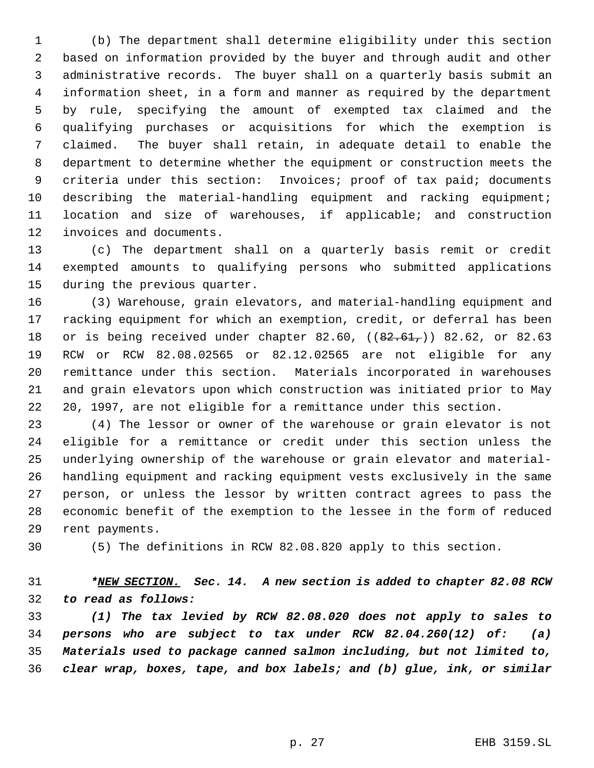(b) The department shall determine eligibility under this section based on information provided by the buyer and through audit and other administrative records. The buyer shall on a quarterly basis submit an information sheet, in a form and manner as required by the department by rule, specifying the amount of exempted tax claimed and the qualifying purchases or acquisitions for which the exemption is claimed. The buyer shall retain, in adequate detail to enable the department to determine whether the equipment or construction meets the criteria under this section: Invoices; proof of tax paid; documents describing the material-handling equipment and racking equipment; location and size of warehouses, if applicable; and construction invoices and documents.

 (c) The department shall on a quarterly basis remit or credit exempted amounts to qualifying persons who submitted applications during the previous quarter.

 (3) Warehouse, grain elevators, and material-handling equipment and racking equipment for which an exemption, credit, or deferral has been 18 or is being received under chapter 82.60, ((82.61,)) 82.62, or 82.63 RCW or RCW 82.08.02565 or 82.12.02565 are not eligible for any remittance under this section. Materials incorporated in warehouses and grain elevators upon which construction was initiated prior to May 20, 1997, are not eligible for a remittance under this section.

 (4) The lessor or owner of the warehouse or grain elevator is not eligible for a remittance or credit under this section unless the underlying ownership of the warehouse or grain elevator and material- handling equipment and racking equipment vests exclusively in the same person, or unless the lessor by written contract agrees to pass the economic benefit of the exemption to the lessee in the form of reduced rent payments.

(5) The definitions in RCW 82.08.820 apply to this section.

 *\*NEW SECTION. Sec. 14. A new section is added to chapter 82.08 RCW to read as follows:*

 *(1) The tax levied by RCW 82.08.020 does not apply to sales to persons who are subject to tax under RCW 82.04.260(12) of: (a) Materials used to package canned salmon including, but not limited to, clear wrap, boxes, tape, and box labels; and (b) glue, ink, or similar*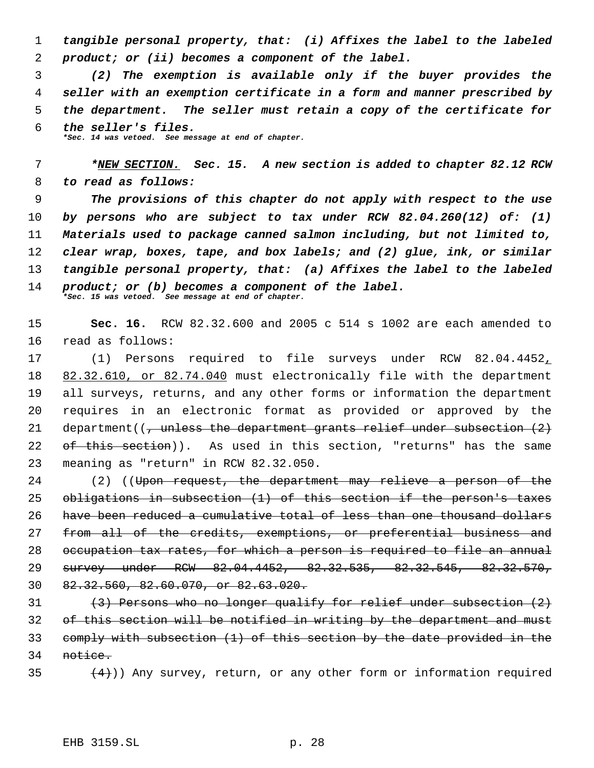*tangible personal property, that: (i) Affixes the label to the labeled product; or (ii) becomes a component of the label.*

 *(2) The exemption is available only if the buyer provides the seller with an exemption certificate in a form and manner prescribed by the department. The seller must retain a copy of the certificate for the seller's files. \*Sec. 14 was vetoed. See message at end of chapter.*

 *\*NEW SECTION. Sec. 15. A new section is added to chapter 82.12 RCW to read as follows:*

 *The provisions of this chapter do not apply with respect to the use by persons who are subject to tax under RCW 82.04.260(12) of: (1) Materials used to package canned salmon including, but not limited to, clear wrap, boxes, tape, and box labels; and (2) glue, ink, or similar tangible personal property, that: (a) Affixes the label to the labeled product; or (b) becomes a component of the label. \*Sec. 15 was vetoed. See message at end of chapter.*

 **Sec. 16.** RCW 82.32.600 and 2005 c 514 s 1002 are each amended to read as follows:

 (1) Persons required to file surveys under RCW 82.04.4452, 82.32.610, or 82.74.040 must electronically file with the department all surveys, returns, and any other forms or information the department requires in an electronic format as provided or approved by the 21 department( $\left(\frac{1}{2}, \frac{1}{2}\right)$  department grants relief under subsection  $\left(\frac{2}{2}\right)$  of this section)). As used in this section, "returns" has the same meaning as "return" in RCW 82.32.050.

24 (2) ((Upon request, the department may relieve a person of the obligations in subsection (1) of this section if the person's taxes have been reduced a cumulative total of less than one thousand dollars 27 from all of the credits, exemptions, or preferential business and occupation tax rates, for which a person is required to file an annual survey under RCW 82.04.4452, 82.32.535, 82.32.545, 82.32.570, 82.32.560, 82.60.070, or 82.63.020.

 (3) Persons who no longer qualify for relief under subsection (2) of this section will be notified in writing by the department and must comply with subsection (1) of this section by the date provided in the notice.

35  $(4)$ ) Any survey, return, or any other form or information required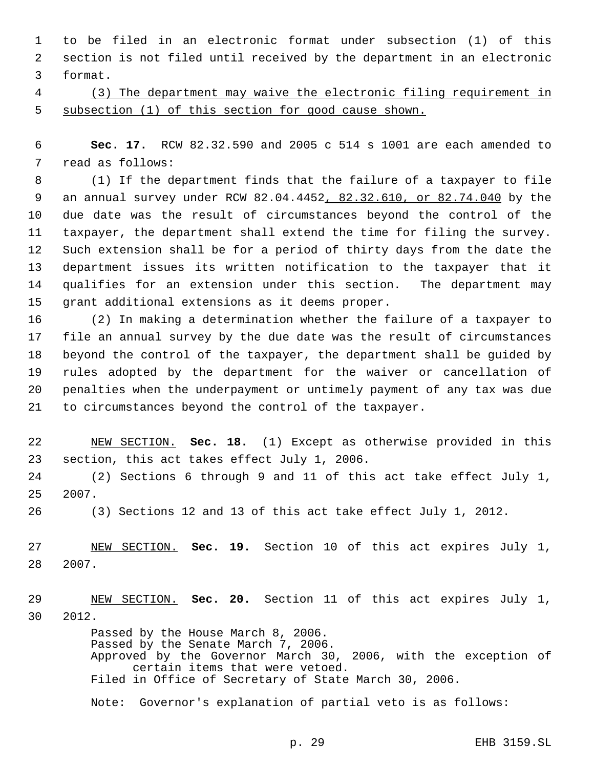to be filed in an electronic format under subsection (1) of this section is not filed until received by the department in an electronic format.

 (3) The department may waive the electronic filing requirement in subsection (1) of this section for good cause shown.

 **Sec. 17.** RCW 82.32.590 and 2005 c 514 s 1001 are each amended to read as follows:

 (1) If the department finds that the failure of a taxpayer to file an annual survey under RCW 82.04.4452, 82.32.610, or 82.74.040 by the due date was the result of circumstances beyond the control of the taxpayer, the department shall extend the time for filing the survey. Such extension shall be for a period of thirty days from the date the department issues its written notification to the taxpayer that it qualifies for an extension under this section. The department may grant additional extensions as it deems proper.

 (2) In making a determination whether the failure of a taxpayer to file an annual survey by the due date was the result of circumstances beyond the control of the taxpayer, the department shall be guided by rules adopted by the department for the waiver or cancellation of penalties when the underpayment or untimely payment of any tax was due to circumstances beyond the control of the taxpayer.

 NEW SECTION. **Sec. 18.** (1) Except as otherwise provided in this section, this act takes effect July 1, 2006.

 (2) Sections 6 through 9 and 11 of this act take effect July 1, 2007.

(3) Sections 12 and 13 of this act take effect July 1, 2012.

 NEW SECTION. **Sec. 19.** Section 10 of this act expires July 1, 2007.

 NEW SECTION. **Sec. 20.** Section 11 of this act expires July 1, 2012.

> Passed by the House March 8, 2006. Passed by the Senate March 7, 2006. Approved by the Governor March 30, 2006, with the exception of certain items that were vetoed. Filed in Office of Secretary of State March 30, 2006.

Note: Governor's explanation of partial veto is as follows: